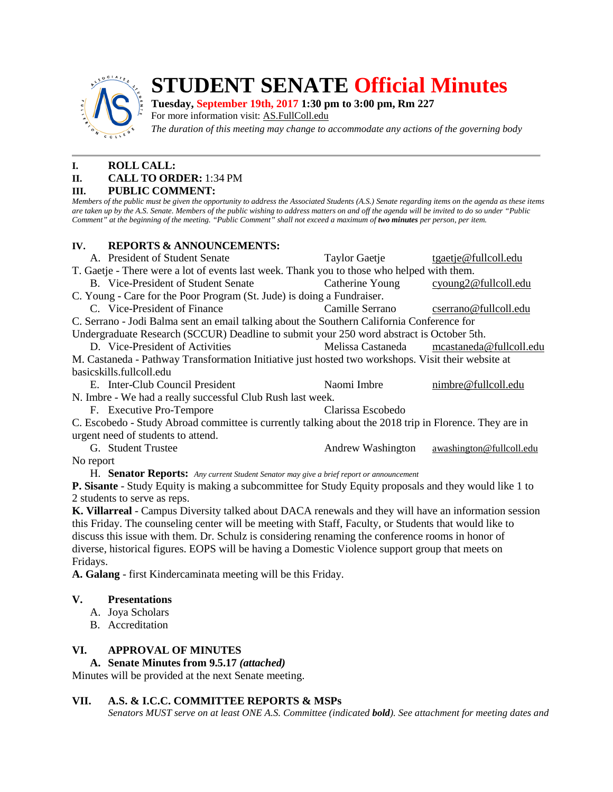

# **STUDENT SENATE Official Minutes**

**Tuesday, September 19th, 2017 1:30 pm to 3:00 pm, Rm 227**

For more information visit: **AS.FullColl.edu** 

*The duration of this meeting may change to accommodate any actions of the governing body*

## **I. ROLL CALL:**

### **II. CALL TO ORDER:** 1:34 PM

#### **III. PUBLIC COMMENT:**

*Members of the public must be given the opportunity to address the Associated Students (A.S.) Senate regarding items on the agenda as these items are taken up by the A.S. Senate. Members of the public wishing to address matters on and off the agenda will be invited to do so under "Public Comment" at the beginning of the meeting. "Public Comment" shall not exceed a maximum of two minutes per person, per item.*

## **IV. REPORTS & ANNOUNCEMENTS:**

A. President of Student Senate Taylor Gaetje tgaetj[e@fullcoll.edu](mailto:ndiehr@fullcoll.edu) T. Gaetje - There were a lot of events last week. Thank you to those who helped with them. B. Vice-President of Student Senate Catherine Young cyoung[2@fullcoll.edu](mailto:tgaetje@fullcoll.edu) C. Young - Care for the Poor Program (St. Jude) is doing a Fundraiser. C. Vice-President of Finance Camille Serrano cserran[o@fullcoll.edu](mailto:kflores@fullcoll.edu) C. Serrano - Jodi Balma sent an email talking about the Southern California Conference for Undergraduate Research (SCCUR) Deadline to submit your 250 word abstract is October 5th. D. Vice-President of Activities Melissa Castaneda mcastaned[a@fullcoll.edu](mailto:lmukasawilson@fullcoll.edu) M. Castaneda - Pathway Transformation Initiative just hosted two workshops. Visit their website at basicskills.fullcoll.edu E. Inter-Club Council President Naomi Imbre nimbre @fullcoll.edu N. Imbre - We had a really successful Club Rush last week. F. Executive Pro-Tempore Clarissa Escobedo C. Escobedo - Study Abroad committee is currently talking about the 2018 trip in Florence. They are in urgent need of students to attend. G. Student Trustee Andrew Washington awashington  $\Theta$ fullcoll.edu No report

H. **Senator Reports:** *Any current Student Senator may give a brief report or announcement*

**P. Sisante** - Study Equity is making a subcommittee for Study Equity proposals and they would like 1 to 2 students to serve as reps.

**K. Villarreal** - Campus Diversity talked about DACA renewals and they will have an information session this Friday. The counseling center will be meeting with Staff, Faculty, or Students that would like to discuss this issue with them. Dr. Schulz is considering renaming the conference rooms in honor of diverse, historical figures. EOPS will be having a Domestic Violence support group that meets on Fridays.

**A. Galang** - first Kindercaminata meeting will be this Friday.

#### **V. Presentations**

- A. Joya Scholars
- B. Accreditation

## **VI. APPROVAL OF MINUTES**

#### **A. Senate Minutes from 9.5.17** *(attached)*

Minutes will be provided at the next Senate meeting.

## **VII. A.S. & I.C.C. COMMITTEE REPORTS & MSPs**

*Senators MUST serve on at least ONE A.S. Committee (indicated bold). See attachment for meeting dates and*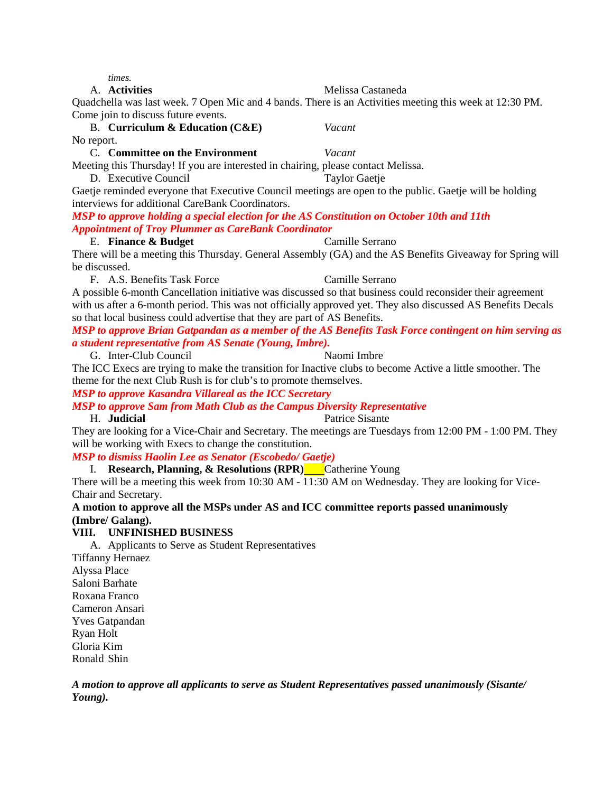*times.*

#### A. **Activities** Melissa Castaneda

Quadchella was last week. 7 Open Mic and 4 bands. There is an Activities meeting this week at 12:30 PM. Come join to discuss future events.

B. **Curriculum & Education (C&E)** *Vacant* No report.

C. **Committee on the Environment** *Vacant*

Meeting this Thursday! If you are interested in chairing, please contact Melissa.

D. Executive Council Taylor Gaetie Gaetje reminded everyone that Executive Council meetings are open to the public. Gaetje will be holding interviews for additional CareBank Coordinators.

*MSP to approve holding a special election for the AS Constitution on October 10th and 11th Appointment of Troy Plummer as CareBank Coordinator* 

#### E. **Finance & Budget** Camille Serrano

There will be a meeting this Thursday. General Assembly (GA) and the AS Benefits Giveaway for Spring will be discussed.

F. A.S. Benefits Task Force Camille Serrano A possible 6-month Cancellation initiative was discussed so that business could reconsider their agreement with us after a 6-month period. This was not officially approved yet. They also discussed AS Benefits Decals so that local business could advertise that they are part of AS Benefits.

#### *MSP to approve Brian Gatpandan as a member of the AS Benefits Task Force contingent on him serving as a student representative from AS Senate (Young, Imbre).*

G. Inter-Club Council Naomi Imbre

The ICC Execs are trying to make the transition for Inactive clubs to become Active a little smoother. The theme for the next Club Rush is for club's to promote themselves.

*MSP to approve Kasandra Villareal as the ICC Secretary*

*MSP to approve Sam from Math Club as the Campus Diversity Representative*

#### H. **Judicial** Patrice Sisante

They are looking for a Vice-Chair and Secretary. The meetings are Tuesdays from 12:00 PM - 1:00 PM. They will be working with Execs to change the constitution.

*MSP to dismiss Haolin Lee as Senator (Escobedo/ Gaetje)*

I. **Research, Planning, & Resolutions (RPR)** Catherine Young

There will be a meeting this week from 10:30 AM - 11:30 AM on Wednesday. They are looking for Vice-Chair and Secretary.

#### **A motion to approve all the MSPs under AS and ICC committee reports passed unanimously (Imbre/ Galang).**

## **VIII. UNFINISHED BUSINESS**

A. Applicants to Serve as Student Representatives

Tiffanny Hernaez Alyssa Place Saloni Barhate Roxana Franco Cameron Ansari Yves Gatpandan Ryan Holt Gloria Kim Ronald Shin

*A motion to approve all applicants to serve as Student Representatives passed unanimously (Sisante/ Young).*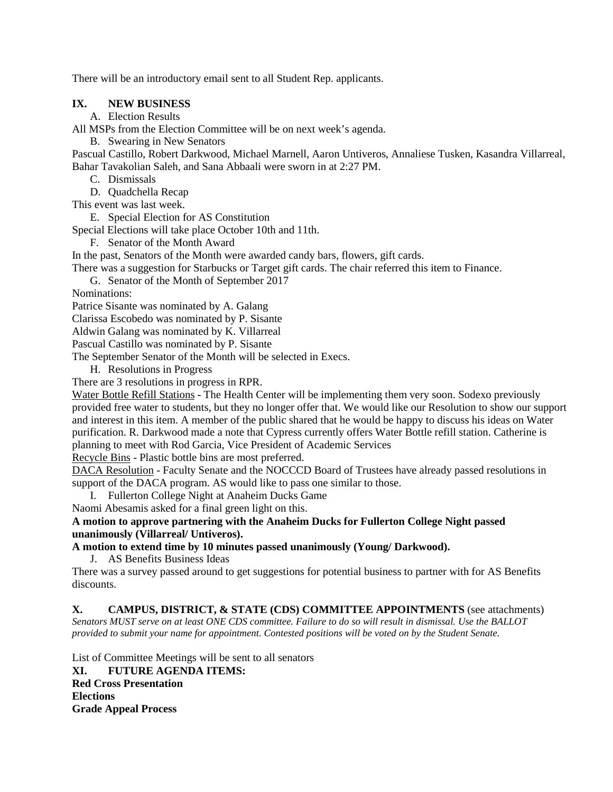There will be an introductory email sent to all Student Rep. applicants.

#### **IX. NEW BUSINESS**

A. Election Results

All MSPs from the Election Committee will be on next week's agenda.

B. Swearing in New Senators

Pascual Castillo, Robert Darkwood, Michael Marnell, Aaron Untiveros, Annaliese Tusken, Kasandra Villarreal, Bahar Tavakolian Saleh, and Sana Abbaali were sworn in at 2:27 PM.

C. Dismissals

D. Quadchella Recap

This event was last week.

E. Special Election for AS Constitution

Special Elections will take place October 10th and 11th.

F. Senator of the Month Award

In the past, Senators of the Month were awarded candy bars, flowers, gift cards.

There was a suggestion for Starbucks or Target gift cards. The chair referred this item to Finance.

G. Senator of the Month of September 2017

Nominations:

Patrice Sisante was nominated by A. Galang

Clarissa Escobedo was nominated by P. Sisante

Aldwin Galang was nominated by K. Villarreal

Pascual Castillo was nominated by P. Sisante

The September Senator of the Month will be selected in Execs.

H. Resolutions in Progress

There are 3 resolutions in progress in RPR.

Water Bottle Refill Stations - The Health Center will be implementing them very soon. Sodexo previously provided free water to students, but they no longer offer that. We would like our Resolution to show our support and interest in this item. A member of the public shared that he would be happy to discuss his ideas on Water purification. R. Darkwood made a note that Cypress currently offers Water Bottle refill station. Catherine is planning to meet with Rod Garcia, Vice President of Academic Services

Recycle Bins - Plastic bottle bins are most preferred.

DACA Resolution - Faculty Senate and the NOCCCD Board of Trustees have already passed resolutions in support of the DACA program. AS would like to pass one similar to those.

I. Fullerton College Night at Anaheim Ducks Game

Naomi Abesamis asked for a final green light on this.

**A motion to approve partnering with the Anaheim Ducks for Fullerton College Night passed unanimously (Villarreal/ Untiveros).**

**A motion to extend time by 10 minutes passed unanimously (Young/ Darkwood).**

J. AS Benefits Business Ideas

There was a survey passed around to get suggestions for potential business to partner with for AS Benefits discounts.

**X. CAMPUS, DISTRICT, & STATE (CDS) COMMITTEE APPOINTMENTS** (see attachments)

*Senators MUST serve on at least ONE CDS committee. Failure to do so will result in dismissal. Use the BALLOT provided to submit your name for appointment. Contested positions will be voted on by the Student Senate.*

List of Committee Meetings will be sent to all senators

**XI. FUTURE AGENDA ITEMS: Red Cross Presentation Elections Grade Appeal Process**